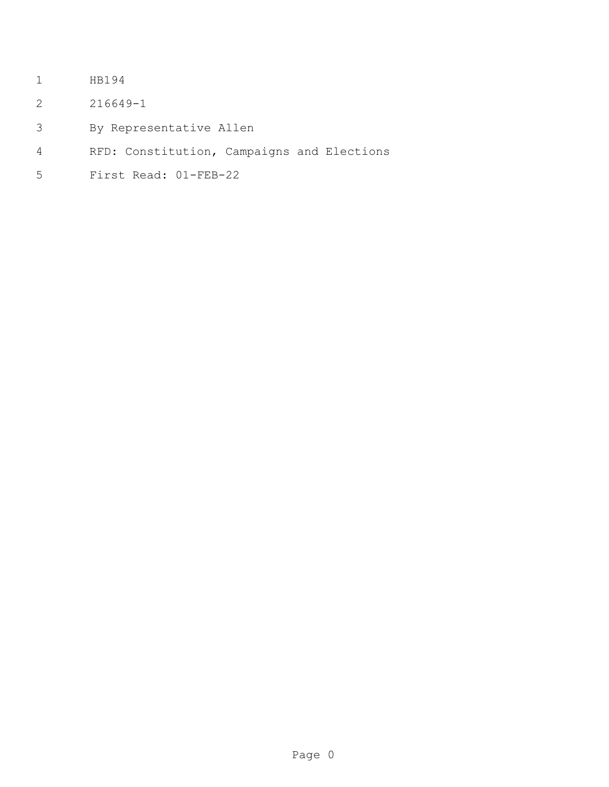- HB194
- 216649-1
- By Representative Allen
- RFD: Constitution, Campaigns and Elections
- First Read: 01-FEB-22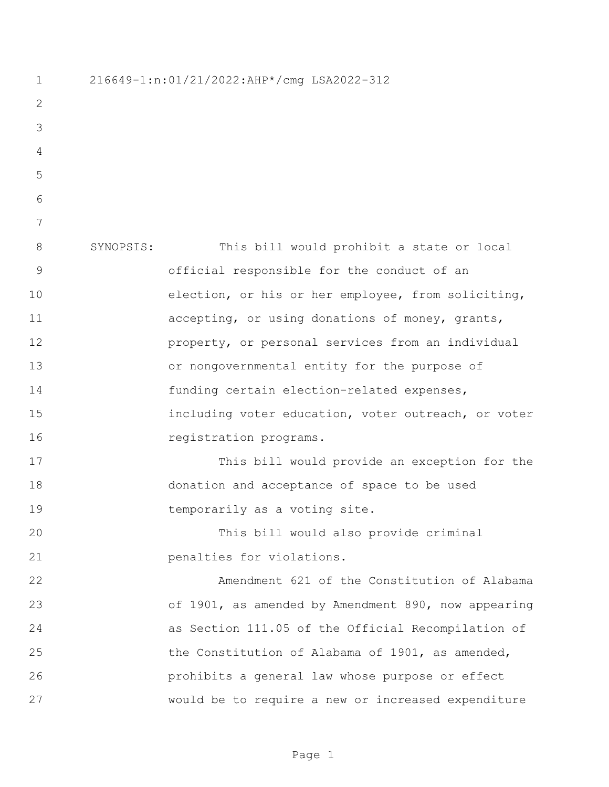| $\mathbf 1$    | 216649-1:n:01/21/2022:AHP*/cmg LSA2022-312 |                                                     |
|----------------|--------------------------------------------|-----------------------------------------------------|
| 2              |                                            |                                                     |
| 3              |                                            |                                                     |
| $\overline{4}$ |                                            |                                                     |
| 5              |                                            |                                                     |
| 6              |                                            |                                                     |
| 7              |                                            |                                                     |
| 8              | SYNOPSIS:                                  | This bill would prohibit a state or local           |
| $\mathsf 9$    |                                            | official responsible for the conduct of an          |
| 10             |                                            | election, or his or her employee, from soliciting,  |
| 11             |                                            | accepting, or using donations of money, grants,     |
| 12             |                                            | property, or personal services from an individual   |
| 13             |                                            | or nongovernmental entity for the purpose of        |
| 14             |                                            | funding certain election-related expenses,          |
| 15             |                                            | including voter education, voter outreach, or voter |
| 16             |                                            | registration programs.                              |
| 17             |                                            | This bill would provide an exception for the        |
| 18             |                                            | donation and acceptance of space to be used         |
| 19             |                                            | temporarily as a voting site.                       |
| 20             |                                            | This bill would also provide criminal               |
| 21             |                                            | penalties for violations.                           |
| 22             |                                            | Amendment 621 of the Constitution of Alabama        |
| 23             |                                            | of 1901, as amended by Amendment 890, now appearing |
| 24             |                                            | as Section 111.05 of the Official Recompilation of  |
| 25             |                                            | the Constitution of Alabama of 1901, as amended,    |
| 26             |                                            | prohibits a general law whose purpose or effect     |
| 27             |                                            | would be to require a new or increased expenditure  |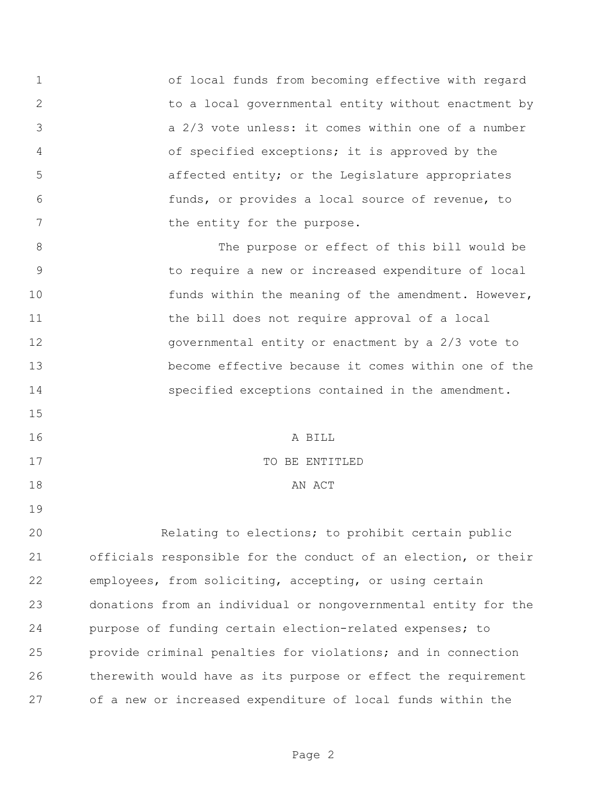of local funds from becoming effective with regard to a local governmental entity without enactment by a 2/3 vote unless: it comes within one of a number of specified exceptions; it is approved by the affected entity; or the Legislature appropriates funds, or provides a local source of revenue, to 7 the entity for the purpose.

 The purpose or effect of this bill would be to require a new or increased expenditure of local 10 funds within the meaning of the amendment. However, 11 the bill does not require approval of a local governmental entity or enactment by a 2/3 vote to become effective because it comes within one of the specified exceptions contained in the amendment.

 A BILL 17 TO BE ENTITLED 18 AN ACT

 Relating to elections; to prohibit certain public officials responsible for the conduct of an election, or their employees, from soliciting, accepting, or using certain donations from an individual or nongovernmental entity for the purpose of funding certain election-related expenses; to provide criminal penalties for violations; and in connection therewith would have as its purpose or effect the requirement of a new or increased expenditure of local funds within the

Page 2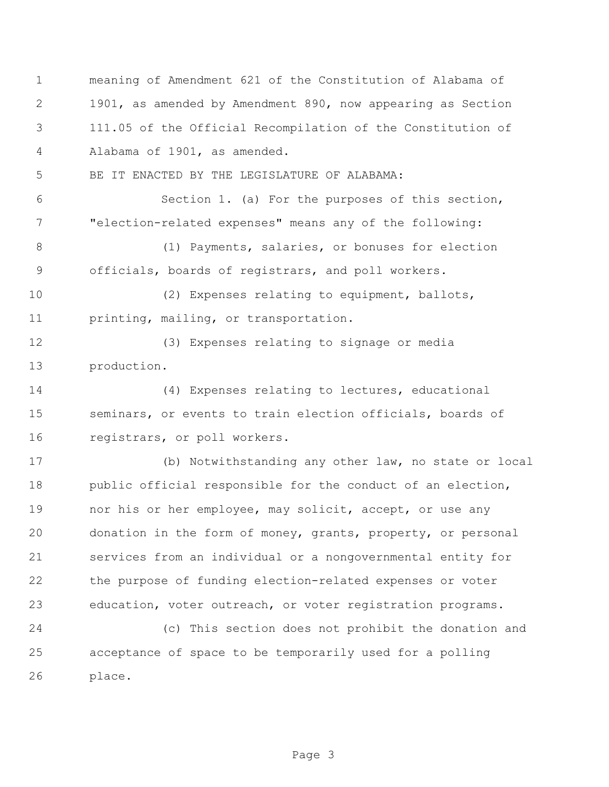meaning of Amendment 621 of the Constitution of Alabama of 1901, as amended by Amendment 890, now appearing as Section 111.05 of the Official Recompilation of the Constitution of Alabama of 1901, as amended.

BE IT ENACTED BY THE LEGISLATURE OF ALABAMA:

 Section 1. (a) For the purposes of this section, "election-related expenses" means any of the following:

8 (1) Payments, salaries, or bonuses for election officials, boards of registrars, and poll workers.

 (2) Expenses relating to equipment, ballots, printing, mailing, or transportation.

 (3) Expenses relating to signage or media production.

 (4) Expenses relating to lectures, educational seminars, or events to train election officials, boards of registrars, or poll workers.

 (b) Notwithstanding any other law, no state or local 18 public official responsible for the conduct of an election, 19 nor his or her employee, may solicit, accept, or use any donation in the form of money, grants, property, or personal services from an individual or a nongovernmental entity for the purpose of funding election-related expenses or voter education, voter outreach, or voter registration programs.

 (c) This section does not prohibit the donation and acceptance of space to be temporarily used for a polling place.